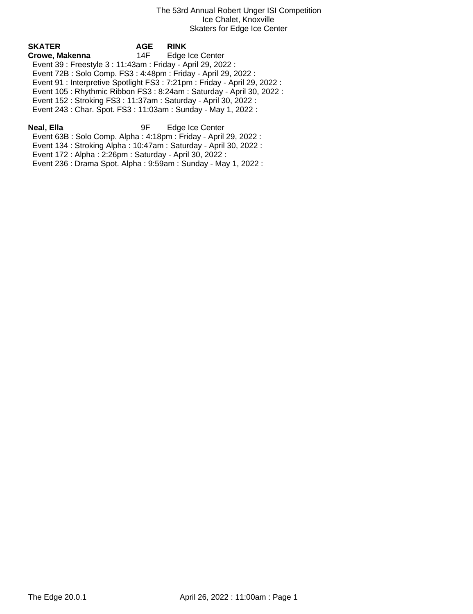| SKATER                                                       | <b>AGE</b> | <b>RINK</b>                                                                |  |
|--------------------------------------------------------------|------------|----------------------------------------------------------------------------|--|
| Crowe, Makenna                                               | 14F -      | Edge Ice Center                                                            |  |
| Event 39 : Freestyle 3 : 11:43am : Friday - April 29, 2022 : |            |                                                                            |  |
|                                                              |            | Event 72B: Solo Comp. FS3: 4:48pm: Friday - April 29, 2022:                |  |
|                                                              |            | Event 91 : Interpretive Spotlight FS3 : 7:21pm : Friday - April 29, 2022 : |  |
|                                                              |            | Event 105: Rhythmic Ribbon FS3: 8:24am: Saturday - April 30, 2022:         |  |
|                                                              |            | Event 152: Stroking FS3: 11:37am: Saturday - April 30, 2022:               |  |
|                                                              |            | Event 243 : Char. Spot. FS3 : 11:03am : Sunday - May 1, 2022 :             |  |
|                                                              |            |                                                                            |  |

**Neal, Ella** 9F Edge Ice Center Event 63B : Solo Comp. Alpha : 4:18pm : Friday - April 29, 2022 :

Event 134 : Stroking Alpha : 10:47am : Saturday - April 30, 2022 :

Event 172 : Alpha : 2:26pm : Saturday - April 30, 2022 :

Event 236 : Drama Spot. Alpha : 9:59am : Sunday - May 1, 2022 :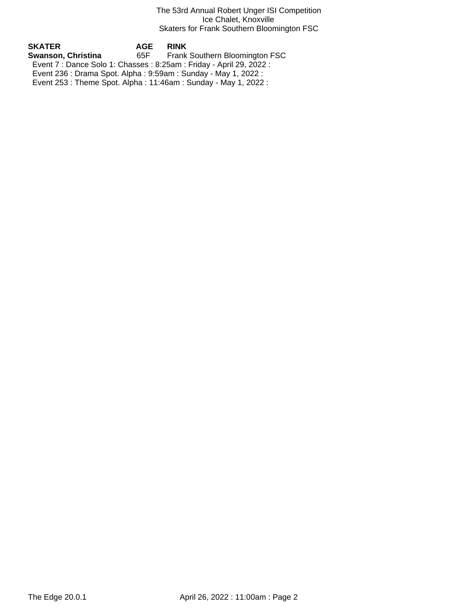### The 53rd Annual Robert Unger ISI Competition Ice Chalet, Knoxville Skaters for Frank Southern Bloomington FSC

**SKATER AGE RINK Frank Southern Bloomington FSC**  Event 7 : Dance Solo 1: Chasses : 8:25am : Friday - April 29, 2022 : Event 236 : Drama Spot. Alpha : 9:59am : Sunday - May 1, 2022 : Event 253 : Theme Spot. Alpha : 11:46am : Sunday - May 1, 2022 :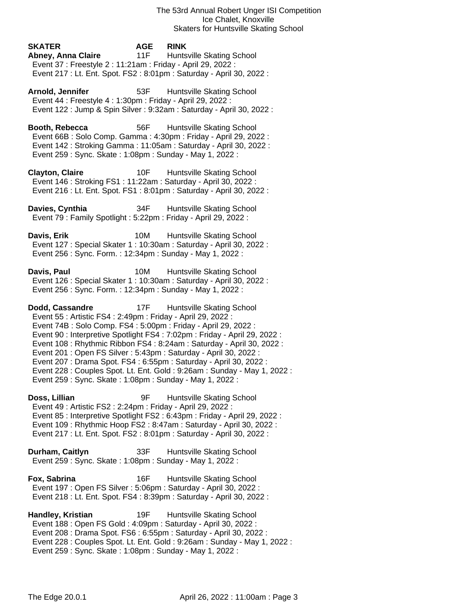**SKATER AGE RINK Abney, Anna Claire** 11F Huntsville Skating School Event 37 : Freestyle 2 : 11:21am : Friday - April 29, 2022 : Event 217 : Lt. Ent. Spot. FS2 : 8:01pm : Saturday - April 30, 2022 :

Arnold, Jennifer **53F** Huntsville Skating School Event 44 : Freestyle 4 : 1:30pm : Friday - April 29, 2022 : Event 122 : Jump & Spin Silver : 9:32am : Saturday - April 30, 2022 :

**Booth, Rebecca** 56F Huntsville Skating School Event 66B : Solo Comp. Gamma : 4:30pm : Friday - April 29, 2022 : Event 142 : Stroking Gamma : 11:05am : Saturday - April 30, 2022 : Event 259 : Sync. Skate : 1:08pm : Sunday - May 1, 2022 :

**Clayton, Claire** 10F Huntsville Skating School Event 146 : Stroking FS1 : 11:22am : Saturday - April 30, 2022 : Event 216 : Lt. Ent. Spot. FS1 : 8:01pm : Saturday - April 30, 2022 :

**Davies, Cynthia** 34F Huntsville Skating School Event 79 : Family Spotlight : 5:22pm : Friday - April 29, 2022 :

**Davis, Erik** 10M Huntsville Skating School Event 127 : Special Skater 1 : 10:30am : Saturday - April 30, 2022 : Event 256 : Sync. Form. : 12:34pm : Sunday - May 1, 2022 :

**Davis, Paul 10M** Huntsville Skating School Event 126 : Special Skater 1 : 10:30am : Saturday - April 30, 2022 : Event 256 : Sync. Form. : 12:34pm : Sunday - May 1, 2022 :

**Dodd, Cassandre** 17F Huntsville Skating School Event 55 : Artistic FS4 : 2:49pm : Friday - April 29, 2022 : Event 74B : Solo Comp. FS4 : 5:00pm : Friday - April 29, 2022 : Event 90 : Interpretive Spotlight FS4 : 7:02pm : Friday - April 29, 2022 : Event 108 : Rhythmic Ribbon FS4 : 8:24am : Saturday - April 30, 2022 : Event 201 : Open FS Silver : 5:43pm : Saturday - April 30, 2022 : Event 207 : Drama Spot. FS4 : 6:55pm : Saturday - April 30, 2022 : Event 228 : Couples Spot. Lt. Ent. Gold : 9:26am : Sunday - May 1, 2022 : Event 259 : Sync. Skate : 1:08pm : Sunday - May 1, 2022 :

**Doss, Lillian** 9F Huntsville Skating School Event 49 : Artistic FS2 : 2:24pm : Friday - April 29, 2022 : Event 85 : Interpretive Spotlight FS2 : 6:43pm : Friday - April 29, 2022 : Event 109 : Rhythmic Hoop FS2 : 8:47am : Saturday - April 30, 2022 : Event 217 : Lt. Ent. Spot. FS2 : 8:01pm : Saturday - April 30, 2022 :

**Durham, Caitlyn** 33F Huntsville Skating School Event 259 : Sync. Skate : 1:08pm : Sunday - May 1, 2022 :

**Fox, Sabrina** 16F Huntsville Skating School Event 197 : Open FS Silver : 5:06pm : Saturday - April 30, 2022 : Event 218 : Lt. Ent. Spot. FS4 : 8:39pm : Saturday - April 30, 2022 :

**Handley, Kristian** 19F Huntsville Skating School Event 188 : Open FS Gold : 4:09pm : Saturday - April 30, 2022 : Event 208 : Drama Spot. FS6 : 6:55pm : Saturday - April 30, 2022 : Event 228 : Couples Spot. Lt. Ent. Gold : 9:26am : Sunday - May 1, 2022 : Event 259 : Sync. Skate : 1:08pm : Sunday - May 1, 2022 :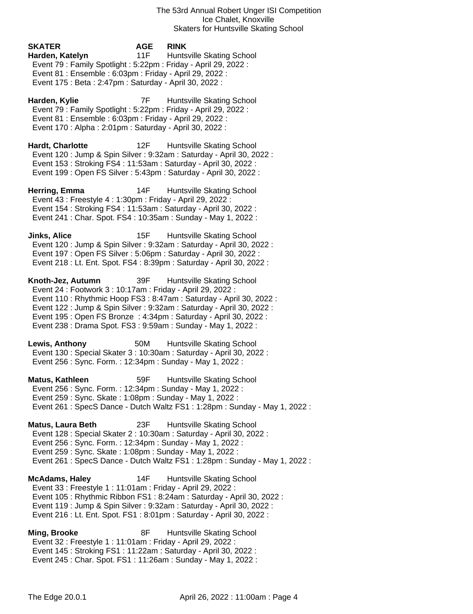# **SKATER AGE RINK Harden, Katelyn** 11F Huntsville Skating School Event 79 : Family Spotlight : 5:22pm : Friday - April 29, 2022 : Event 81 : Ensemble : 6:03pm : Friday - April 29, 2022 : Event 175 : Beta : 2:47pm : Saturday - April 30, 2022 : **Harden, Kylie** 7F Huntsville Skating School

 Event 79 : Family Spotlight : 5:22pm : Friday - April 29, 2022 : Event 81 : Ensemble : 6:03pm : Friday - April 29, 2022 : Event 170 : Alpha : 2:01pm : Saturday - April 30, 2022 :

**Hardt, Charlotte** 12F Huntsville Skating School Event 120 : Jump & Spin Silver : 9:32am : Saturday - April 30, 2022 : Event 153 : Stroking FS4 : 11:53am : Saturday - April 30, 2022 : Event 199 : Open FS Silver : 5:43pm : Saturday - April 30, 2022 :

**Herring, Emma** 14F Huntsville Skating School Event 43 : Freestyle 4 : 1:30pm : Friday - April 29, 2022 : Event 154 : Stroking FS4 : 11:53am : Saturday - April 30, 2022 : Event 241 : Char. Spot. FS4 : 10:35am : Sunday - May 1, 2022 :

**Jinks, Alice** 15F Huntsville Skating School Event 120 : Jump & Spin Silver : 9:32am : Saturday - April 30, 2022 : Event 197 : Open FS Silver : 5:06pm : Saturday - April 30, 2022 : Event 218 : Lt. Ent. Spot. FS4 : 8:39pm : Saturday - April 30, 2022 :

**Knoth-Jez, Autumn** 39F Huntsville Skating School Event 24 : Footwork 3 : 10:17am : Friday - April 29, 2022 : Event 110 : Rhythmic Hoop FS3 : 8:47am : Saturday - April 30, 2022 : Event 122 : Jump & Spin Silver : 9:32am : Saturday - April 30, 2022 : Event 195 : Open FS Bronze : 4:34pm : Saturday - April 30, 2022 : Event 238 : Drama Spot. FS3 : 9:59am : Sunday - May 1, 2022 :

**Lewis, Anthony** 50M Huntsville Skating School Event 130 : Special Skater 3 : 10:30am : Saturday - April 30, 2022 : Event 256 : Sync. Form. : 12:34pm : Sunday - May 1, 2022 :

**Matus, Kathleen** 59F Huntsville Skating School Event 256 : Sync. Form. : 12:34pm : Sunday - May 1, 2022 : Event 259 : Sync. Skate : 1:08pm : Sunday - May 1, 2022 : Event 261 : SpecS Dance - Dutch Waltz FS1 : 1:28pm : Sunday - May 1, 2022 :

**Matus, Laura Beth** 23F Huntsville Skating School Event 128 : Special Skater 2 : 10:30am : Saturday - April 30, 2022 : Event 256 : Sync. Form. : 12:34pm : Sunday - May 1, 2022 : Event 259 : Sync. Skate : 1:08pm : Sunday - May 1, 2022 : Event 261 : SpecS Dance - Dutch Waltz FS1 : 1:28pm : Sunday - May 1, 2022 :

**McAdams, Haley** 14F Huntsville Skating School Event 33 : Freestyle 1 : 11:01am : Friday - April 29, 2022 : Event 105 : Rhythmic Ribbon FS1 : 8:24am : Saturday - April 30, 2022 : Event 119 : Jump & Spin Silver : 9:32am : Saturday - April 30, 2022 : Event 216 : Lt. Ent. Spot. FS1 : 8:01pm : Saturday - April 30, 2022 :

**Ming, Brooke** 8F Huntsville Skating School Event 32 : Freestyle 1 : 11:01am : Friday - April 29, 2022 : Event 145 : Stroking FS1 : 11:22am : Saturday - April 30, 2022 : Event 245 : Char. Spot. FS1 : 11:26am : Sunday - May 1, 2022 :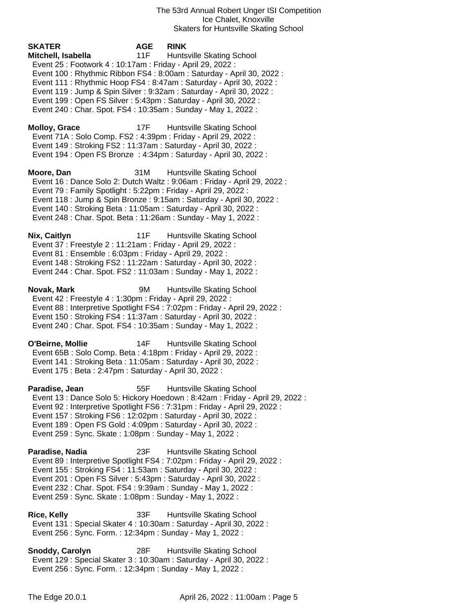The 53rd Annual Robert Unger ISI Competition Ice Chalet, Knoxville Skaters for Huntsville Skating School

**SKATER AGE RINK Mitchell, Isabella** 11F Huntsville Skating School Event 25 : Footwork 4 : 10:17am : Friday - April 29, 2022 : Event 100 : Rhythmic Ribbon FS4 : 8:00am : Saturday - April 30, 2022 : Event 111 : Rhythmic Hoop FS4 : 8:47am : Saturday - April 30, 2022 : Event 119 : Jump & Spin Silver : 9:32am : Saturday - April 30, 2022 : Event 199 : Open FS Silver : 5:43pm : Saturday - April 30, 2022 : Event 240 : Char. Spot. FS4 : 10:35am : Sunday - May 1, 2022 : **Molloy, Grace** 17F Huntsville Skating School Event 71A : Solo Comp. FS2 : 4:39pm : Friday - April 29, 2022 : Event 149 : Stroking FS2 : 11:37am : Saturday - April 30, 2022 : Event 194 : Open FS Bronze : 4:34pm : Saturday - April 30, 2022 : **Moore, Dan** 31M Huntsville Skating School Event 16 : Dance Solo 2: Dutch Waltz : 9:06am : Friday - April 29, 2022 : Event 79 : Family Spotlight : 5:22pm : Friday - April 29, 2022 : Event 118 : Jump & Spin Bronze : 9:15am : Saturday - April 30, 2022 : Event 140 : Stroking Beta : 11:05am : Saturday - April 30, 2022 : Event 248 : Char. Spot. Beta : 11:26am : Sunday - May 1, 2022 : **Nix, Caitlyn** 11F Huntsville Skating School Event 37 : Freestyle 2 : 11:21am : Friday - April 29, 2022 : Event 81 : Ensemble : 6:03pm : Friday - April 29, 2022 : Event 148 : Stroking FS2 : 11:22am : Saturday - April 30, 2022 : Event 244 : Char. Spot. FS2 : 11:03am : Sunday - May 1, 2022 : **Novak, Mark** 9M Huntsville Skating School Event 42 : Freestyle 4 : 1:30pm : Friday - April 29, 2022 : Event 88 : Interpretive Spotlight FS4 : 7:02pm : Friday - April 29, 2022 : Event 150 : Stroking FS4 : 11:37am : Saturday - April 30, 2022 : Event 240 : Char. Spot. FS4 : 10:35am : Sunday - May 1, 2022 : **O'Beirne, Mollie** 14F Huntsville Skating School Event 65B : Solo Comp. Beta : 4:18pm : Friday - April 29, 2022 : Event 141 : Stroking Beta : 11:05am : Saturday - April 30, 2022 : Event 175 : Beta : 2:47pm : Saturday - April 30, 2022 : **Paradise, Jean** 55F Huntsville Skating School Event 13 : Dance Solo 5: Hickory Hoedown : 8:42am : Friday - April 29, 2022 : Event 92 : Interpretive Spotlight FS6 : 7:31pm : Friday - April 29, 2022 : Event 157 : Stroking FS6 : 12:02pm : Saturday - April 30, 2022 : Event 189 : Open FS Gold : 4:09pm : Saturday - April 30, 2022 : Event 259 : Sync. Skate : 1:08pm : Sunday - May 1, 2022 : **Paradise, Nadia** 23F Huntsville Skating School Event 89 : Interpretive Spotlight FS4 : 7:02pm : Friday - April 29, 2022 :

 Event 155 : Stroking FS4 : 11:53am : Saturday - April 30, 2022 : Event 201 : Open FS Silver : 5:43pm : Saturday - April 30, 2022 : Event 232 : Char. Spot. FS4 : 9:39am : Sunday - May 1, 2022 : Event 259 : Sync. Skate : 1:08pm : Sunday - May 1, 2022 :

**Rice, Kelly** 33F Huntsville Skating School Event 131 : Special Skater 4 : 10:30am : Saturday - April 30, 2022 : Event 256 : Sync. Form. : 12:34pm : Sunday - May 1, 2022 :

**Snoddy, Carolyn** 28F Huntsville Skating School Event 129 : Special Skater 3 : 10:30am : Saturday - April 30, 2022 : Event 256 : Sync. Form. : 12:34pm : Sunday - May 1, 2022 :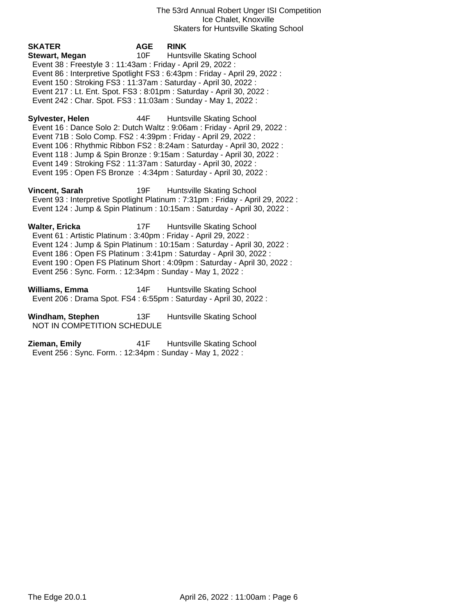The 53rd Annual Robert Unger ISI Competition Ice Chalet, Knoxville Skaters for Huntsville Skating School

**SKATER AGE RINK Stewart, Megan** 10F Huntsville Skating School Event 38 : Freestyle 3 : 11:43am : Friday - April 29, 2022 : Event 86 : Interpretive Spotlight FS3 : 6:43pm : Friday - April 29, 2022 : Event 150 : Stroking FS3 : 11:37am : Saturday - April 30, 2022 : Event 217 : Lt. Ent. Spot. FS3 : 8:01pm : Saturday - April 30, 2022 : Event 242 : Char. Spot. FS3 : 11:03am : Sunday - May 1, 2022 : **Sylvester, Helen** 44F Huntsville Skating School Event 16 : Dance Solo 2: Dutch Waltz : 9:06am : Friday - April 29, 2022 : Event 71B : Solo Comp. FS2 : 4:39pm : Friday - April 29, 2022 : Event 106 : Rhythmic Ribbon FS2 : 8:24am : Saturday - April 30, 2022 :

 Event 118 : Jump & Spin Bronze : 9:15am : Saturday - April 30, 2022 : Event 149 : Stroking FS2 : 11:37am : Saturday - April 30, 2022 : Event 195 : Open FS Bronze : 4:34pm : Saturday - April 30, 2022 :

**Vincent, Sarah** 19F Huntsville Skating School Event 93 : Interpretive Spotlight Platinum : 7:31pm : Friday - April 29, 2022 : Event 124 : Jump & Spin Platinum : 10:15am : Saturday - April 30, 2022 : **Walter, Ericka** 17F Huntsville Skating School

 Event 61 : Artistic Platinum : 3:40pm : Friday - April 29, 2022 : Event 124 : Jump & Spin Platinum : 10:15am : Saturday - April 30, 2022 : Event 186 : Open FS Platinum : 3:41pm : Saturday - April 30, 2022 : Event 190 : Open FS Platinum Short : 4:09pm : Saturday - April 30, 2022 : Event 256 : Sync. Form. : 12:34pm : Sunday - May 1, 2022 :

**Williams, Emma** 14F Huntsville Skating School Event 206 : Drama Spot. FS4 : 6:55pm : Saturday - April 30, 2022 :

**Windham, Stephen** 13F Huntsville Skating School NOT IN COMPETITION SCHEDULE

**Zieman, Emily** 41F Huntsville Skating School Event 256 : Sync. Form. : 12:34pm : Sunday - May 1, 2022 :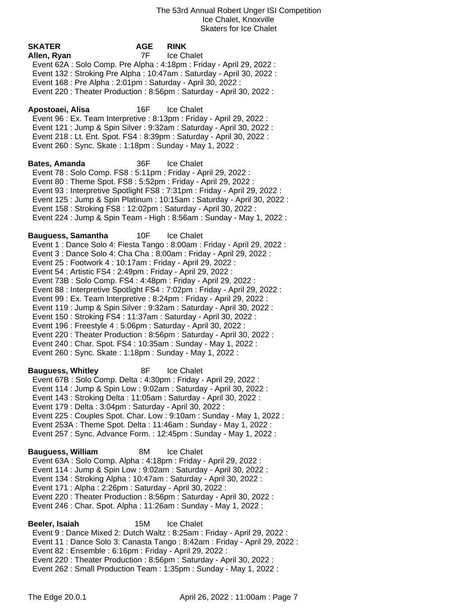| <b>SKATER</b><br>Allen, Ryan<br>Event 168 : Pre Alpha : 2:01pm : Saturday - April 30, 2022 :                                                                                                                                                                                                                                                                                                                                                                                                 | <b>AGE</b><br>7F . | <b>RINK</b><br>Ice Chalet<br>Event 62A : Solo Comp. Pre Alpha : 4:18pm : Friday - April 29, 2022 :<br>Event 132: Stroking Pre Alpha: 10:47am: Saturday - April 30, 2022:                                                                                                                                                                                                                                                                                                 |
|----------------------------------------------------------------------------------------------------------------------------------------------------------------------------------------------------------------------------------------------------------------------------------------------------------------------------------------------------------------------------------------------------------------------------------------------------------------------------------------------|--------------------|--------------------------------------------------------------------------------------------------------------------------------------------------------------------------------------------------------------------------------------------------------------------------------------------------------------------------------------------------------------------------------------------------------------------------------------------------------------------------|
|                                                                                                                                                                                                                                                                                                                                                                                                                                                                                              |                    | Event 220 : Theater Production : 8:56pm : Saturday - April 30, 2022 :                                                                                                                                                                                                                                                                                                                                                                                                    |
| Apostoaei, Alisa<br>Event 260 : Sync. Skate : 1:18pm : Sunday - May 1, 2022 :                                                                                                                                                                                                                                                                                                                                                                                                                | 16F                | Ice Chalet<br>Event 96 : Ex. Team Interpretive : 8:13pm : Friday - April 29, 2022 :<br>Event 121 : Jump & Spin Silver : 9:32am : Saturday - April 30, 2022 :<br>Event 218 : Lt. Ent. Spot. FS4 : 8:39pm : Saturday - April 30, 2022 :                                                                                                                                                                                                                                    |
| <b>Bates, Amanda</b><br>Event 78 : Solo Comp. FS8 : 5:11pm : Friday - April 29, 2022 :<br>Event 80 : Theme Spot. FS8 : 5:52pm : Friday - April 29, 2022 :<br>Event 158 : Stroking FS8 : 12:02pm : Saturday - April 30, 2022 :                                                                                                                                                                                                                                                                | 36F                | <b>Ice Chalet</b><br>Event 93 : Interpretive Spotlight FS8 : 7:31pm : Friday - April 29, 2022 :<br>Event 125 : Jump & Spin Platinum : 10:15am : Saturday - April 30, 2022 :<br>Event 224 : Jump & Spin Team - High : 8:56am : Sunday - May 1, 2022 :                                                                                                                                                                                                                     |
| <b>Bauguess, Samantha</b><br>Event 25 : Footwork 4 : 10:17am : Friday - April 29, 2022 :<br>Event 54 : Artistic FS4 : 2:49pm : Friday - April 29, 2022 :<br>Event 73B: Solo Comp. FS4: 4:48pm: Friday - April 29, 2022:<br>Event 150 : Stroking FS4 : 11:37am : Saturday - April 30, 2022 :<br>Event 196 : Freestyle 4 : 5:06pm : Saturday - April 30, 2022 :<br>Event 240 : Char. Spot. FS4 : 10:35am : Sunday - May 1, 2022 :<br>Event 260 : Sync. Skate : 1:18pm : Sunday - May 1, 2022 : | 10F                | Ice Chalet<br>Event 1 : Dance Solo 4: Fiesta Tango : 8:00am : Friday - April 29, 2022 :<br>Event 3 : Dance Solo 4: Cha Cha : 8:00am : Friday - April 29, 2022 :<br>Event 88 : Interpretive Spotlight FS4 : 7:02pm : Friday - April 29, 2022 :<br>Event 99 : Ex. Team Interpretive : 8:24pm : Friday - April 29, 2022 :<br>Event 119 : Jump & Spin Silver : 9:32am : Saturday - April 30, 2022 :<br>Event 220 : Theater Production : 8:56pm : Saturday - April 30, 2022 : |
| <b>Bauguess, Whitley</b><br>Event 67B: Solo Comp. Delta: 4:30pm: Friday - April 29, 2022:<br>Event 143: Stroking Delta: 11:05am: Saturday - April 30, 2022:<br>Event 179 : Delta : 3:04pm : Saturday - April 30, 2022 :                                                                                                                                                                                                                                                                      | 8F                 | Ice Chalet<br>Event 114 : Jump & Spin Low : 9:02am : Saturday - April 30, 2022 :<br>Event 225 : Couples Spot. Char. Low : 9:10am : Sunday - May 1, 2022 :<br>Event 253A : Theme Spot. Delta : 11:46am : Sunday - May 1, 2022 :<br>Event 257: Sync. Advance Form.: 12:45pm: Sunday - May 1, 2022:                                                                                                                                                                         |
| <b>Bauguess, William</b><br>Event 63A: Solo Comp. Alpha: 4:18pm: Friday - April 29, 2022:<br>Event 171 : Alpha : 2:26pm : Saturday - April 30, 2022 :                                                                                                                                                                                                                                                                                                                                        | 8M                 | Ice Chalet<br>Event 114 : Jump & Spin Low : 9:02am : Saturday - April 30, 2022 :<br>Event 134: Stroking Alpha: 10:47am: Saturday - April 30, 2022:<br>Event 220 : Theater Production : 8:56pm : Saturday - April 30, 2022 :<br>Event 246 : Char. Spot. Alpha : 11:26am : Sunday - May 1, 2022 :                                                                                                                                                                          |
| Daalar Isaiah                                                                                                                                                                                                                                                                                                                                                                                                                                                                                |                    | $15M$ $\sim$ Cholot                                                                                                                                                                                                                                                                                                                                                                                                                                                      |

**Beeler, Isaiah** 15M Ice Chalet Event 9 : Dance Mixed 2: Dutch Waltz : 8:25am : Friday - April 29, 2022 : Event 11 : Dance Solo 3: Canasta Tango : 8:42am : Friday - April 29, 2022 : Event 82 : Ensemble : 6:16pm : Friday - April 29, 2022 : Event 220 : Theater Production : 8:56pm : Saturday - April 30, 2022 : Event 262 : Small Production Team : 1:35pm : Sunday - May 1, 2022 :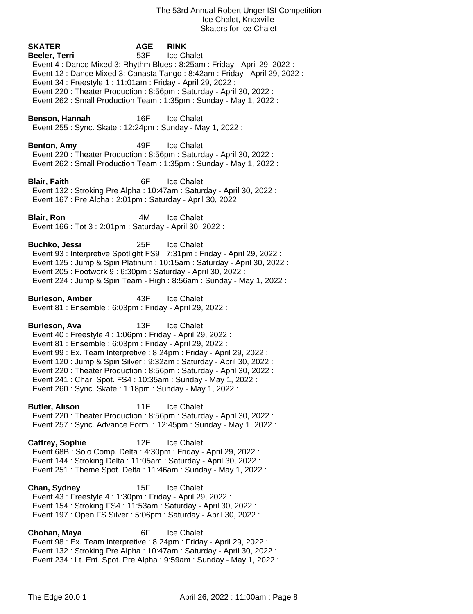**SKATER AGE RINK Beeler, Terri** 53F Ice Chalet Event 4 : Dance Mixed 3: Rhythm Blues : 8:25am : Friday - April 29, 2022 : Event 12 : Dance Mixed 3: Canasta Tango : 8:42am : Friday - April 29, 2022 : Event 34 : Freestyle 1 : 11:01am : Friday - April 29, 2022 : Event 220 : Theater Production : 8:56pm : Saturday - April 30, 2022 : Event 262 : Small Production Team : 1:35pm : Sunday - May 1, 2022 : **Benson, Hannah** 16F Ice Chalet Event 255 : Sync. Skate : 12:24pm : Sunday - May 1, 2022 : **Benton, Amy** 49F Ice Chalet Event 220 : Theater Production : 8:56pm : Saturday - April 30, 2022 : Event 262 : Small Production Team : 1:35pm : Sunday - May 1, 2022 : **Blair, Faith** 6F Ice Chalet Event 132 : Stroking Pre Alpha : 10:47am : Saturday - April 30, 2022 : Event 167 : Pre Alpha : 2:01pm : Saturday - April 30, 2022 : **Blair, Ron** 4M Ice Chalet Event 166 : Tot 3 : 2:01pm : Saturday - April 30, 2022 : **Buchko, Jessi** 25F Ice Chalet Event 93 : Interpretive Spotlight FS9 : 7:31pm : Friday - April 29, 2022 : Event 125 : Jump & Spin Platinum : 10:15am : Saturday - April 30, 2022 : Event 205 : Footwork 9 : 6:30pm : Saturday - April 30, 2022 : Event 224 : Jump & Spin Team - High : 8:56am : Sunday - May 1, 2022 : **Burleson, Amber** 43F Ice Chalet Event 81 : Ensemble : 6:03pm : Friday - April 29, 2022 : **Burleson, Ava** 13F Ice Chalet Event 40 : Freestyle 4 : 1:06pm : Friday - April 29, 2022 : Event 81 : Ensemble : 6:03pm : Friday - April 29, 2022 : Event 99 : Ex. Team Interpretive : 8:24pm : Friday - April 29, 2022 : Event 120 : Jump & Spin Silver : 9:32am : Saturday - April 30, 2022 : Event 220 : Theater Production : 8:56pm : Saturday - April 30, 2022 : Event 241 : Char. Spot. FS4 : 10:35am : Sunday - May 1, 2022 : Event 260 : Sync. Skate : 1:18pm : Sunday - May 1, 2022 : **Butler, Alison** 11F Ice Chalet Event 220 : Theater Production : 8:56pm : Saturday - April 30, 2022 : Event 257 : Sync. Advance Form. : 12:45pm : Sunday - May 1, 2022 : **Caffrey, Sophie** 12F Ice Chalet Event 68B : Solo Comp. Delta : 4:30pm : Friday - April 29, 2022 : Event 144 : Stroking Delta : 11:05am : Saturday - April 30, 2022 : Event 251 : Theme Spot. Delta : 11:46am : Sunday - May 1, 2022 : **Chan, Sydney** 15F Ice Chalet Event 43 : Freestyle 4 : 1:30pm : Friday - April 29, 2022 : Event 154 : Stroking FS4 : 11:53am : Saturday - April 30, 2022 : Event 197 : Open FS Silver : 5:06pm : Saturday - April 30, 2022 : **Chohan, Maya** 6F Ice Chalet Event 98 : Ex. Team Interpretive : 8:24pm : Friday - April 29, 2022 : Event 132 : Stroking Pre Alpha : 10:47am : Saturday - April 30, 2022 : Event 234 : Lt. Ent. Spot. Pre Alpha : 9:59am : Sunday - May 1, 2022 :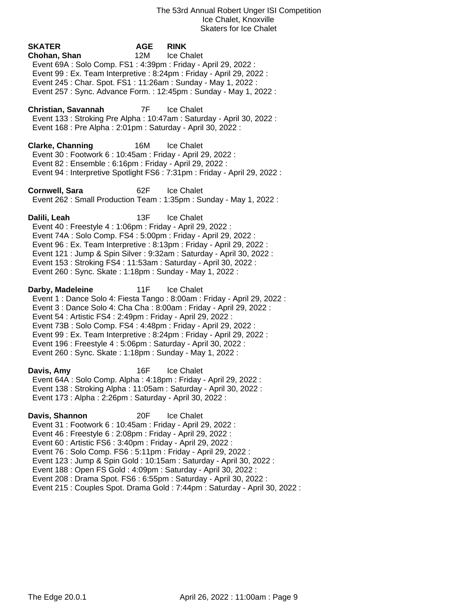| <b>SKATER</b><br>Chohan, Shan<br>Event 69A : Solo Comp. FS1 : 4:39pm : Friday - April 29, 2022 :<br>Event 245 : Char. Spot. FS1 : 11:26am : Sunday - May 1, 2022 :                                                                                                                                                                            | <b>AGE</b><br>12M | <b>RINK</b><br>Ice Chalet<br>Event 99 : Ex. Team Interpretive : 8:24pm : Friday - April 29, 2022 :<br>Event 257: Sync. Advance Form.: 12:45pm: Sunday - May 1, 2022:                                                                           |
|-----------------------------------------------------------------------------------------------------------------------------------------------------------------------------------------------------------------------------------------------------------------------------------------------------------------------------------------------|-------------------|------------------------------------------------------------------------------------------------------------------------------------------------------------------------------------------------------------------------------------------------|
| Christian, Savannah<br>Event 168 : Pre Alpha : 2:01pm : Saturday - April 30, 2022 :                                                                                                                                                                                                                                                           |                   | 7F Ice Chalet<br>Event 133: Stroking Pre Alpha: 10:47am: Saturday - April 30, 2022:                                                                                                                                                            |
| <b>Clarke, Channing</b><br>Event 30 : Footwork 6 : 10:45am : Friday - April 29, 2022 :<br>Event 82 : Ensemble : 6:16pm : Friday - April 29, 2022 :                                                                                                                                                                                            | 16M               | <b>Ice Chalet</b><br>Event 94 : Interpretive Spotlight FS6 : 7:31pm : Friday - April 29, 2022 :                                                                                                                                                |
| Cornwell, Sara                                                                                                                                                                                                                                                                                                                                | 62F               | <b>Ice Chalet</b><br>Event 262 : Small Production Team : 1:35pm : Sunday - May 1, 2022 :                                                                                                                                                       |
| Dalili, Leah<br>Event 40 : Freestyle 4 : 1:06pm : Friday - April 29, 2022 :<br>Event 74A : Solo Comp. FS4 : 5:00pm : Friday - April 29, 2022 :<br>Event 153: Stroking FS4: 11:53am: Saturday - April 30, 2022:<br>Event 260 : Sync. Skate : 1:18pm : Sunday - May 1, 2022 :                                                                   | 13F               | <b>Ice Chalet</b><br>Event 96 : Ex. Team Interpretive : 8:13pm : Friday - April 29, 2022 :<br>Event 121 : Jump & Spin Silver : 9:32am : Saturday - April 30, 2022 :                                                                            |
| Darby, Madeleine<br>Event 54 : Artistic FS4 : 2:49pm : Friday - April 29, 2022 :<br>Event 73B: Solo Comp. FS4: 4:48pm: Friday - April 29, 2022:<br>Event 196 : Freestyle 4 : 5:06pm : Saturday - April 30, 2022 :<br>Event 260 : Sync. Skate : 1:18pm : Sunday - May 1, 2022 :                                                                | 11F               | Ice Chalet<br>Event 1 : Dance Solo 4: Fiesta Tango : 8:00am : Friday - April 29, 2022 :<br>Event 3 : Dance Solo 4: Cha Cha : 8:00am : Friday - April 29, 2022 :<br>Event 99 : Ex. Team Interpretive : 8:24pm : Friday - April 29, 2022 :       |
| Davis, Amy<br>Event 64A : Solo Comp. Alpha : 4:18pm : Friday - April 29, 2022 :<br>Event 138 : Stroking Alpha : 11:05am : Saturday - April 30, 2022 :<br>Event 173 : Alpha : 2:26pm : Saturday - April 30, 2022 :                                                                                                                             | 16F               | <b>Ice Chalet</b>                                                                                                                                                                                                                              |
| Davis, Shannon<br>Event 31: Footwork 6: 10:45am: Friday - April 29, 2022:<br>Event 46 : Freestyle 6 : 2:08pm : Friday - April 29, 2022 :<br>Event 60 : Artistic FS6 : 3:40pm : Friday - April 29, 2022 :<br>Event 76 : Solo Comp. FS6 : 5:11pm : Friday - April 29, 2022 :<br>Event 188 : Open FS Gold : 4:09pm : Saturday - April 30, 2022 : | 20F               | <b>Ice Chalet</b><br>Event 123 : Jump & Spin Gold : 10:15am : Saturday - April 30, 2022 :<br>Event 208 : Drama Spot. FS6 : 6:55pm : Saturday - April 30, 2022 :<br>Event 215 : Couples Spot. Drama Gold : 7:44pm : Saturday - April 30, 2022 : |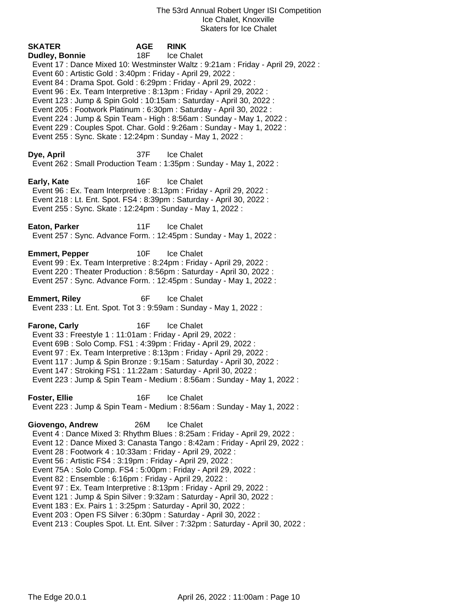**SKATER AGE RINK Dudley, Bonnie** 18F Ice Chalet Event 17 : Dance Mixed 10: Westminster Waltz : 9:21am : Friday - April 29, 2022 : Event 60 : Artistic Gold : 3:40pm : Friday - April 29, 2022 : Event 84 : Drama Spot. Gold : 6:29pm : Friday - April 29, 2022 : Event 96 : Ex. Team Interpretive : 8:13pm : Friday - April 29, 2022 : Event 123 : Jump & Spin Gold : 10:15am : Saturday - April 30, 2022 : Event 205 : Footwork Platinum : 6:30pm : Saturday - April 30, 2022 : Event 224 : Jump & Spin Team - High : 8:56am : Sunday - May 1, 2022 : Event 229 : Couples Spot. Char. Gold : 9:26am : Sunday - May 1, 2022 : Event 255 : Sync. Skate : 12:24pm : Sunday - May 1, 2022 : **Dye, April** 37F Ice Chalet Event 262 : Small Production Team : 1:35pm : Sunday - May 1, 2022 : **Early, Kate** 16F Ice Chalet Event 96 : Ex. Team Interpretive : 8:13pm : Friday - April 29, 2022 : Event 218 : Lt. Ent. Spot. FS4 : 8:39pm : Saturday - April 30, 2022 : Event 255 : Sync. Skate : 12:24pm : Sunday - May 1, 2022 : **Eaton, Parker** 11F Ice Chalet Event 257 : Sync. Advance Form. : 12:45pm : Sunday - May 1, 2022 : **Emmert, Pepper** 10F Ice Chalet Event 99 : Ex. Team Interpretive : 8:24pm : Friday - April 29, 2022 : Event 220 : Theater Production : 8:56pm : Saturday - April 30, 2022 : Event 257 : Sync. Advance Form. : 12:45pm : Sunday - May 1, 2022 : **Emmert, Riley** 6F Ice Chalet Event 233 : Lt. Ent. Spot. Tot 3 : 9:59am : Sunday - May 1, 2022 : **Farone, Carly 16F** Ice Chalet Event 33 : Freestyle 1 : 11:01am : Friday - April 29, 2022 : Event 69B : Solo Comp. FS1 : 4:39pm : Friday - April 29, 2022 : Event 97 : Ex. Team Interpretive : 8:13pm : Friday - April 29, 2022 : Event 117 : Jump & Spin Bronze : 9:15am : Saturday - April 30, 2022 : Event 147 : Stroking FS1 : 11:22am : Saturday - April 30, 2022 : Event 223 : Jump & Spin Team - Medium : 8:56am : Sunday - May 1, 2022 : **Foster, Ellie** 16F Ice Chalet Event 223 : Jump & Spin Team - Medium : 8:56am : Sunday - May 1, 2022 : **Giovengo, Andrew** 26M Ice Chalet Event 4 : Dance Mixed 3: Rhythm Blues : 8:25am : Friday - April 29, 2022 : Event 12 : Dance Mixed 3: Canasta Tango : 8:42am : Friday - April 29, 2022 : Event 28 : Footwork 4 : 10:33am : Friday - April 29, 2022 : Event 56 : Artistic FS4 : 3:19pm : Friday - April 29, 2022 : Event 75A : Solo Comp. FS4 : 5:00pm : Friday - April 29, 2022 : Event 82 : Ensemble : 6:16pm : Friday - April 29, 2022 : Event 97 : Ex. Team Interpretive : 8:13pm : Friday - April 29, 2022 : Event 121 : Jump & Spin Silver : 9:32am : Saturday - April 30, 2022 : Event 183 : Ex. Pairs 1 : 3:25pm : Saturday - April 30, 2022 : Event 203 : Open FS Silver : 6:30pm : Saturday - April 30, 2022 :

Event 213 : Couples Spot. Lt. Ent. Silver : 7:32pm : Saturday - April 30, 2022 :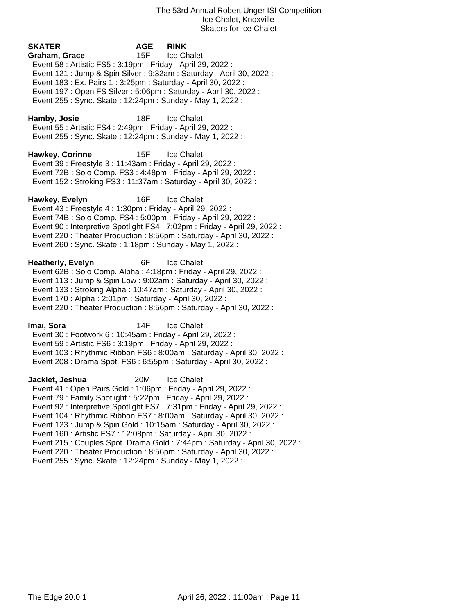| <b>SKATER</b><br>Graham, Grace<br>Event 58 : Artistic FS5 : 3:19pm : Friday - April 29, 2022 :<br>Event 183 : Ex. Pairs 1 : 3:25pm : Saturday - April 30, 2022 :<br>Event 197 : Open FS Silver : 5:06pm : Saturday - April 30, 2022 :<br>Event 255: Sync. Skate: 12:24pm: Sunday - May 1, 2022: | <b>AGE</b><br>15F | <b>RINK</b><br>Ice Chalet<br>Event 121 : Jump & Spin Silver : 9:32am : Saturday - April 30, 2022 :                                                                                                                                                                                                                                                                                             |
|-------------------------------------------------------------------------------------------------------------------------------------------------------------------------------------------------------------------------------------------------------------------------------------------------|-------------------|------------------------------------------------------------------------------------------------------------------------------------------------------------------------------------------------------------------------------------------------------------------------------------------------------------------------------------------------------------------------------------------------|
| Hamby, Josie<br>Event 55: Artistic FS4: 2:49pm: Friday - April 29, 2022:<br>Event 255 : Sync. Skate : 12:24pm : Sunday - May 1, 2022 :                                                                                                                                                          | 18F               | <b>Ice Chalet</b>                                                                                                                                                                                                                                                                                                                                                                              |
| <b>Hawkey, Corinne</b><br>Event 39 : Freestyle 3 : 11:43am : Friday - April 29, 2022 :<br>Event 72B: Solo Comp. FS3: 4:48pm: Friday - April 29, 2022:<br>Event 152: Stroking FS3: 11:37am: Saturday - April 30, 2022:                                                                           | 15F               | <b>Ice Chalet</b>                                                                                                                                                                                                                                                                                                                                                                              |
| Hawkey, Evelyn<br>Event 43 : Freestyle 4 : 1:30pm : Friday - April 29, 2022 :<br>Event 74B: Solo Comp. FS4: 5:00pm: Friday - April 29, 2022:<br>Event 260 : Sync. Skate : 1:18pm : Sunday - May 1, 2022 :                                                                                       | 16F               | <b>Ice Chalet</b><br>Event 90 : Interpretive Spotlight FS4 : 7:02pm : Friday - April 29, 2022 :<br>Event 220 : Theater Production : 8:56pm : Saturday - April 30, 2022 :                                                                                                                                                                                                                       |
| <b>Heatherly, Evelyn</b><br>Event 62B: Solo Comp. Alpha: 4:18pm: Friday - April 29, 2022:<br>Event 133: Stroking Alpha: 10:47am: Saturday - April 30, 2022:<br>Event 170 : Alpha : 2:01pm : Saturday - April 30, 2022 :                                                                         | 6F                | <b>Ice Chalet</b><br>Event 113 : Jump & Spin Low : 9:02am : Saturday - April 30, 2022 :<br>Event 220 : Theater Production : 8:56pm : Saturday - April 30, 2022 :                                                                                                                                                                                                                               |
| lmai, Sora<br>Event 30: Footwork 6: 10:45am: Friday - April 29, 2022:<br>Event 59 : Artistic FS6 : 3:19pm : Friday - April 29, 2022 :                                                                                                                                                           | 14F               | <b>Ice Chalet</b><br>Event 103: Rhythmic Ribbon FS6: 8:00am: Saturday - April 30, 2022:<br>Event 208 : Drama Spot. FS6 : 6:55pm : Saturday - April 30, 2022 :                                                                                                                                                                                                                                  |
| Jacklet, Jeshua<br>Event 41 : Open Pairs Gold : 1:06pm : Friday - April 29, 2022 :<br>Event 79: Family Spotlight: 5:22pm: Friday - April 29, 2022:<br>Event 160 : Artistic FS7 : 12:08pm : Saturday - April 30, 2022 :<br>Event 255: Sync. Skate: 12:24pm: Sunday - May 1, 2022:                | 20M               | Ice Chalet<br>Event 92 : Interpretive Spotlight FS7 : 7:31pm : Friday - April 29, 2022 :<br>Event 104: Rhythmic Ribbon FS7: 8:00am: Saturday - April 30, 2022:<br>Event 123 : Jump & Spin Gold : 10:15am : Saturday - April 30, 2022 :<br>Event 215 : Couples Spot. Drama Gold : 7:44pm : Saturday - April 30, 2022 :<br>Event 220 : Theater Production : 8:56pm : Saturday - April 30, 2022 : |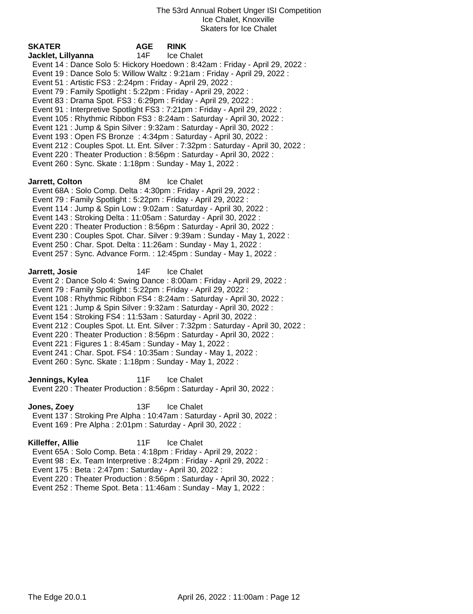| <b>SKATER</b>                                                                                                                                                                                                                                                                                                                                | <b>AGE</b> | <b>RINK</b>                                                                                                                                                                                                                                                                                                                                                                                                                                                                                                                                                                                                                          |
|----------------------------------------------------------------------------------------------------------------------------------------------------------------------------------------------------------------------------------------------------------------------------------------------------------------------------------------------|------------|--------------------------------------------------------------------------------------------------------------------------------------------------------------------------------------------------------------------------------------------------------------------------------------------------------------------------------------------------------------------------------------------------------------------------------------------------------------------------------------------------------------------------------------------------------------------------------------------------------------------------------------|
| Jacklet, Lillyanna<br>Event 51 : Artistic FS3 : 2:24pm : Friday - April 29, 2022 :<br>Event 79 : Family Spotlight : 5:22pm : Friday - April 29, 2022 :<br>Event 83 : Drama Spot. FS3 : 6:29pm : Friday - April 29, 2022 :<br>Event 260 : Sync. Skate : 1:18pm : Sunday - May 1, 2022 :                                                       | 14F        | Ice Chalet<br>Event 14 : Dance Solo 5: Hickory Hoedown : 8:42am : Friday - April 29, 2022 :<br>Event 19: Dance Solo 5: Willow Waltz: 9:21am: Friday - April 29, 2022:<br>Event 91 : Interpretive Spotlight FS3 : 7:21pm : Friday - April 29, 2022 :<br>Event 105: Rhythmic Ribbon FS3: 8:24am: Saturday - April 30, 2022:<br>Event 121 : Jump & Spin Silver : 9:32am : Saturday - April 30, 2022 :<br>Event 193 : Open FS Bronze : 4:34pm : Saturday - April 30, 2022 :<br>Event 212 : Couples Spot. Lt. Ent. Silver : 7:32pm : Saturday - April 30, 2022 :<br>Event 220 : Theater Production : 8:56pm : Saturday - April 30, 2022 : |
| Jarrett, Colton<br>Event 68A : Solo Comp. Delta : 4:30pm : Friday - April 29, 2022 :<br>Event 79: Family Spotlight: 5:22pm: Friday - April 29, 2022:<br>Event 143 : Stroking Delta : 11:05am : Saturday - April 30, 2022 :<br>Event 250 : Char. Spot. Delta : 11:26am : Sunday - May 1, 2022 :                                               | 8M         | Ice Chalet<br>Event 114 : Jump & Spin Low : 9:02am : Saturday - April 30, 2022 :<br>Event 220 : Theater Production : 8:56pm : Saturday - April 30, 2022 :<br>Event 230 : Couples Spot. Char. Silver : 9:39am : Sunday - May 1, 2022 :<br>Event 257 : Sync. Advance Form. : 12:45pm : Sunday - May 1, 2022 :                                                                                                                                                                                                                                                                                                                          |
| Jarrett, Josie<br>Event 79: Family Spotlight: 5:22pm: Friday - April 29, 2022:<br>Event 154 : Stroking FS4 : 11:53am : Saturday - April 30, 2022 :<br>Event 221 : Figures 1 : 8:45am : Sunday - May 1, 2022 :<br>Event 241 : Char. Spot. FS4 : 10:35am : Sunday - May 1, 2022 :<br>Event 260 : Sync. Skate : 1:18pm : Sunday - May 1, 2022 : | 14F        | <b>Ice Chalet</b><br>Event 2: Dance Solo 4: Swing Dance: 8:00am: Friday - April 29, 2022:<br>Event 108 : Rhythmic Ribbon FS4 : 8:24am : Saturday - April 30, 2022 :<br>Event 121 : Jump & Spin Silver : 9:32am : Saturday - April 30, 2022 :<br>Event 212 : Couples Spot. Lt. Ent. Silver : 7:32pm : Saturday - April 30, 2022 :<br>Event 220 : Theater Production : 8:56pm : Saturday - April 30, 2022 :                                                                                                                                                                                                                            |
| Jennings, Kylea                                                                                                                                                                                                                                                                                                                              | 11F        | <b>Ice Chalet</b><br>Event 220 : Theater Production : 8:56pm : Saturday - April 30, 2022 :                                                                                                                                                                                                                                                                                                                                                                                                                                                                                                                                           |
| Jones, Zoey<br>Event 169 : Pre Alpha : 2:01pm : Saturday - April 30, 2022 :                                                                                                                                                                                                                                                                  | 13F        | Ice Chalet<br>Event 137: Stroking Pre Alpha: 10:47am: Saturday - April 30, 2022:                                                                                                                                                                                                                                                                                                                                                                                                                                                                                                                                                     |
| Killeffer, Allie<br>Event 65A: Solo Comp. Beta: 4:18pm: Friday - April 29, 2022:<br>Event 175 : Beta : 2:47pm : Saturday - April 30, 2022 :                                                                                                                                                                                                  | 11F        | Ice Chalet<br>Event 98 : Ex. Team Interpretive : 8:24pm : Friday - April 29, 2022 :                                                                                                                                                                                                                                                                                                                                                                                                                                                                                                                                                  |

Event 220 : Theater Production : 8:56pm : Saturday - April 30, 2022 :

Event 252 : Theme Spot. Beta : 11:46am : Sunday - May 1, 2022 :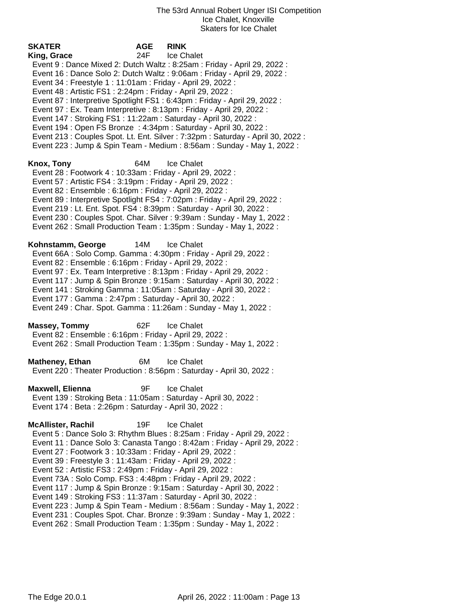**SKATER AGE RINK King, Grace** 24F Ice Chalet Event 9 : Dance Mixed 2: Dutch Waltz : 8:25am : Friday - April 29, 2022 : Event 16 : Dance Solo 2: Dutch Waltz : 9:06am : Friday - April 29, 2022 : Event 34 : Freestyle 1 : 11:01am : Friday - April 29, 2022 : Event 48 : Artistic FS1 : 2:24pm : Friday - April 29, 2022 : Event 87 : Interpretive Spotlight FS1 : 6:43pm : Friday - April 29, 2022 : Event 97 : Ex. Team Interpretive : 8:13pm : Friday - April 29, 2022 : Event 147 : Stroking FS1 : 11:22am : Saturday - April 30, 2022 : Event 194 : Open FS Bronze : 4:34pm : Saturday - April 30, 2022 : Event 213 : Couples Spot. Lt. Ent. Silver : 7:32pm : Saturday - April 30, 2022 : Event 223 : Jump & Spin Team - Medium : 8:56am : Sunday - May 1, 2022 : **Knox, Tony** 64M Ice Chalet Event 28 : Footwork 4 : 10:33am : Friday - April 29, 2022 : Event 57 : Artistic FS4 : 3:19pm : Friday - April 29, 2022 : Event 82 : Ensemble : 6:16pm : Friday - April 29, 2022 : Event 89 : Interpretive Spotlight FS4 : 7:02pm : Friday - April 29, 2022 : Event 219 : Lt. Ent. Spot. FS4 : 8:39pm : Saturday - April 30, 2022 : Event 230 : Couples Spot. Char. Silver : 9:39am : Sunday - May 1, 2022 : Event 262 : Small Production Team : 1:35pm : Sunday - May 1, 2022 : **Kohnstamm, George** 14M Ice Chalet Event 66A : Solo Comp. Gamma : 4:30pm : Friday - April 29, 2022 : Event 82 : Ensemble : 6:16pm : Friday - April 29, 2022 : Event 97 : Ex. Team Interpretive : 8:13pm : Friday - April 29, 2022 : Event 117 : Jump & Spin Bronze : 9:15am : Saturday - April 30, 2022 : Event 141 : Stroking Gamma : 11:05am : Saturday - April 30, 2022 : Event 177 : Gamma : 2:47pm : Saturday - April 30, 2022 : Event 249 : Char. Spot. Gamma : 11:26am : Sunday - May 1, 2022 : **Massey, Tommy** 62F Ice Chalet Event 82 : Ensemble : 6:16pm : Friday - April 29, 2022 : Event 262 : Small Production Team : 1:35pm : Sunday - May 1, 2022 : **Matheney, Ethan** 6M Ice Chalet Event 220 : Theater Production : 8:56pm : Saturday - April 30, 2022 : **Maxwell, Elienna** 9F Ice Chalet Event 139 : Stroking Beta : 11:05am : Saturday - April 30, 2022 : Event 174 : Beta : 2:26pm : Saturday - April 30, 2022 : **McAllister, Rachil** 19F Ice Chalet Event 5 : Dance Solo 3: Rhythm Blues : 8:25am : Friday - April 29, 2022 : Event 11 : Dance Solo 3: Canasta Tango : 8:42am : Friday - April 29, 2022 : Event 27 : Footwork 3 : 10:33am : Friday - April 29, 2022 : Event 39 : Freestyle 3 : 11:43am : Friday - April 29, 2022 : Event 52 : Artistic FS3 : 2:49pm : Friday - April 29, 2022 : Event 73A : Solo Comp. FS3 : 4:48pm : Friday - April 29, 2022 : Event 117 : Jump & Spin Bronze : 9:15am : Saturday - April 30, 2022 : Event 149 : Stroking FS3 : 11:37am : Saturday - April 30, 2022 : Event 223 : Jump & Spin Team - Medium : 8:56am : Sunday - May 1, 2022 : Event 231 : Couples Spot. Char. Bronze : 9:39am : Sunday - May 1, 2022 :

Event 262 : Small Production Team : 1:35pm : Sunday - May 1, 2022 :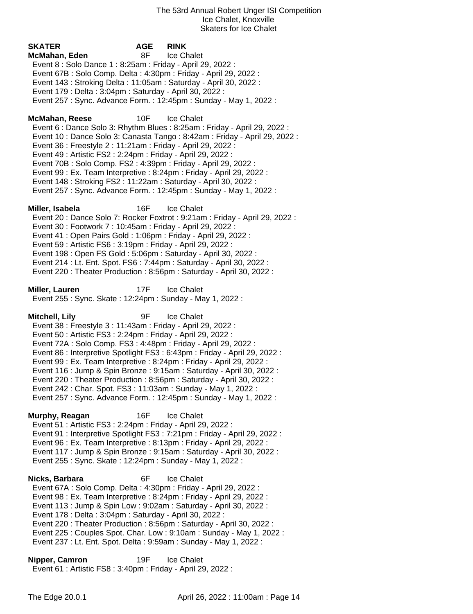**SKATER AGE RINK McMahan, Eden** 8F Ice Chalet Event 8 : Solo Dance 1 : 8:25am : Friday - April 29, 2022 : Event 67B : Solo Comp. Delta : 4:30pm : Friday - April 29, 2022 : Event 143 : Stroking Delta : 11:05am : Saturday - April 30, 2022 : Event 179 : Delta : 3:04pm : Saturday - April 30, 2022 : Event 257 : Sync. Advance Form. : 12:45pm : Sunday - May 1, 2022 : **McMahan, Reese** 10F Ice Chalet Event 6 : Dance Solo 3: Rhythm Blues : 8:25am : Friday - April 29, 2022 : Event 10 : Dance Solo 3: Canasta Tango : 8:42am : Friday - April 29, 2022 : Event 36 : Freestyle 2 : 11:21am : Friday - April 29, 2022 : Event 49 : Artistic FS2 : 2:24pm : Friday - April 29, 2022 : Event 70B : Solo Comp. FS2 : 4:39pm : Friday - April 29, 2022 : Event 99 : Ex. Team Interpretive : 8:24pm : Friday - April 29, 2022 : Event 148 : Stroking FS2 : 11:22am : Saturday - April 30, 2022 : Event 257 : Sync. Advance Form. : 12:45pm : Sunday - May 1, 2022 : **Miller, Isabela** 16F Ice Chalet Event 20 : Dance Solo 7: Rocker Foxtrot : 9:21am : Friday - April 29, 2022 : Event 30 : Footwork 7 : 10:45am : Friday - April 29, 2022 : Event 41 : Open Pairs Gold : 1:06pm : Friday - April 29, 2022 : Event 59 : Artistic FS6 : 3:19pm : Friday - April 29, 2022 : Event 198 : Open FS Gold : 5:06pm : Saturday - April 30, 2022 : Event 214 : Lt. Ent. Spot. FS6 : 7:44pm : Saturday - April 30, 2022 : Event 220 : Theater Production : 8:56pm : Saturday - April 30, 2022 : **Miller, Lauren** 17F Ice Chalet Event 255 : Sync. Skate : 12:24pm : Sunday - May 1, 2022 : **Mitchell, Lily** 9F Ice Chalet Event 38 : Freestyle 3 : 11:43am : Friday - April 29, 2022 : Event 50 : Artistic FS3 : 2:24pm : Friday - April 29, 2022 : Event 72A : Solo Comp. FS3 : 4:48pm : Friday - April 29, 2022 : Event 86 : Interpretive Spotlight FS3 : 6:43pm : Friday - April 29, 2022 : Event 99 : Ex. Team Interpretive : 8:24pm : Friday - April 29, 2022 : Event 116 : Jump & Spin Bronze : 9:15am : Saturday - April 30, 2022 : Event 220 : Theater Production : 8:56pm : Saturday - April 30, 2022 : Event 242 : Char. Spot. FS3 : 11:03am : Sunday - May 1, 2022 : Event 257 : Sync. Advance Form. : 12:45pm : Sunday - May 1, 2022 : **Murphy, Reagan** 16F Ice Chalet Event 51 : Artistic FS3 : 2:24pm : Friday - April 29, 2022 : Event 91 : Interpretive Spotlight FS3 : 7:21pm : Friday - April 29, 2022 : Event 96 : Ex. Team Interpretive : 8:13pm : Friday - April 29, 2022 : Event 117 : Jump & Spin Bronze : 9:15am : Saturday - April 30, 2022 : Event 255 : Sync. Skate : 12:24pm : Sunday - May 1, 2022 : **Nicks, Barbara** 6F Ice Chalet Event 67A : Solo Comp. Delta : 4:30pm : Friday - April 29, 2022 : Event 98 : Ex. Team Interpretive : 8:24pm : Friday - April 29, 2022 : Event 113 : Jump & Spin Low : 9:02am : Saturday - April 30, 2022 : Event 178 : Delta : 3:04pm : Saturday - April 30, 2022 : Event 220 : Theater Production : 8:56pm : Saturday - April 30, 2022 : Event 225 : Couples Spot. Char. Low : 9:10am : Sunday - May 1, 2022 :

Event 237 : Lt. Ent. Spot. Delta : 9:59am : Sunday - May 1, 2022 :

**Nipper, Camron** 19F Ice Chalet Event 61 : Artistic FS8 : 3:40pm : Friday - April 29, 2022 :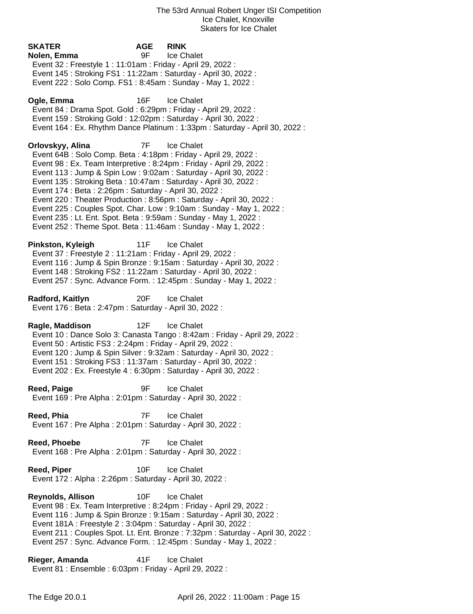**SKATER AGE RINK Nolen, Emma** 9F Ice Chalet Event 32 : Freestyle 1 : 11:01am : Friday - April 29, 2022 : Event 145 : Stroking FS1 : 11:22am : Saturday - April 30, 2022 : Event 222 : Solo Comp. FS1 : 8:45am : Sunday - May 1, 2022 : **Ogle, Emma** 16F Ice Chalet Event 84 : Drama Spot. Gold : 6:29pm : Friday - April 29, 2022 : Event 159 : Stroking Gold : 12:02pm : Saturday - April 30, 2022 : Event 164 : Ex. Rhythm Dance Platinum : 1:33pm : Saturday - April 30, 2022 : **Orlovskyy, Alina** 7F Ice Chalet Event 64B : Solo Comp. Beta : 4:18pm : Friday - April 29, 2022 : Event 98 : Ex. Team Interpretive : 8:24pm : Friday - April 29, 2022 : Event 113 : Jump & Spin Low : 9:02am : Saturday - April 30, 2022 : Event 135 : Stroking Beta : 10:47am : Saturday - April 30, 2022 : Event 174 : Beta : 2:26pm : Saturday - April 30, 2022 : Event 220 : Theater Production : 8:56pm : Saturday - April 30, 2022 : Event 225 : Couples Spot. Char. Low : 9:10am : Sunday - May 1, 2022 : Event 235 : Lt. Ent. Spot. Beta : 9:59am : Sunday - May 1, 2022 : Event 252 : Theme Spot. Beta : 11:46am : Sunday - May 1, 2022 : **Pinkston, Kyleigh** 11F Ice Chalet Event 37 : Freestyle 2 : 11:21am : Friday - April 29, 2022 : Event 116 : Jump & Spin Bronze : 9:15am : Saturday - April 30, 2022 : Event 148 : Stroking FS2 : 11:22am : Saturday - April 30, 2022 : Event 257 : Sync. Advance Form. : 12:45pm : Sunday - May 1, 2022 : **Radford, Kaitlyn** 20F Ice Chalet Event 176 : Beta : 2:47pm : Saturday - April 30, 2022 : **Ragle, Maddison** 12F Ice Chalet Event 10 : Dance Solo 3: Canasta Tango : 8:42am : Friday - April 29, 2022 : Event 50 : Artistic FS3 : 2:24pm : Friday - April 29, 2022 : Event 120 : Jump & Spin Silver : 9:32am : Saturday - April 30, 2022 : Event 151 : Stroking FS3 : 11:37am : Saturday - April 30, 2022 : Event 202 : Ex. Freestyle 4 : 6:30pm : Saturday - April 30, 2022 : **Reed, Paige 1998 12 Second Property** 1 Second Property 1 Second Property 1 Second Property 1 Second Property 1 Second Property 1 Second Property 1 Second Property 1 Second Property 1 Second Property 1 Second Property Event 169 : Pre Alpha : 2:01pm : Saturday - April 30, 2022 : **Reed, Phia** 7F Ice Chalet Event 167 : Pre Alpha : 2:01pm : Saturday - April 30, 2022 : **Reed, Phoebe** 7F Ice Chalet Event 168 : Pre Alpha : 2:01pm : Saturday - April 30, 2022 : **Reed, Piper** 10F Ice Chalet Event 172 : Alpha : 2:26pm : Saturday - April 30, 2022 : **Reynolds, Allison** 10F Ice Chalet Event 98 : Ex. Team Interpretive : 8:24pm : Friday - April 29, 2022 : Event 116 : Jump & Spin Bronze : 9:15am : Saturday - April 30, 2022 : Event 181A : Freestyle 2 : 3:04pm : Saturday - April 30, 2022 : Event 211 : Couples Spot. Lt. Ent. Bronze : 7:32pm : Saturday - April 30, 2022 : Event 257 : Sync. Advance Form. : 12:45pm : Sunday - May 1, 2022 :

**Rieger, Amanda** 41F Ice Chalet Event 81 : Ensemble : 6:03pm : Friday - April 29, 2022 :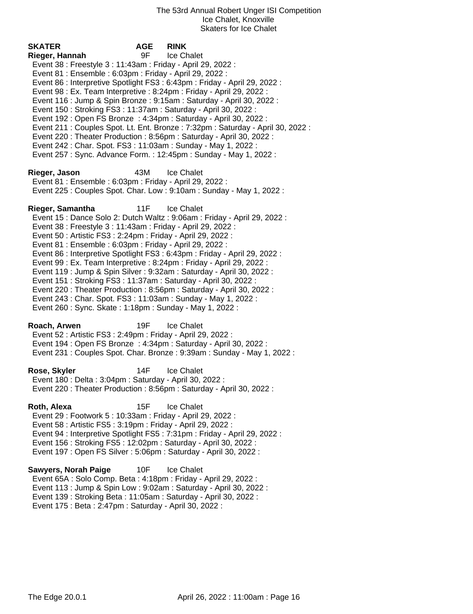**SKATER AGE RINK Rieger, Hannah** 9F Ice Chalet Event 38 : Freestyle 3 : 11:43am : Friday - April 29, 2022 : Event 81 : Ensemble : 6:03pm : Friday - April 29, 2022 : Event 86 : Interpretive Spotlight FS3 : 6:43pm : Friday - April 29, 2022 : Event 98 : Ex. Team Interpretive : 8:24pm : Friday - April 29, 2022 : Event 116 : Jump & Spin Bronze : 9:15am : Saturday - April 30, 2022 : Event 150 : Stroking FS3 : 11:37am : Saturday - April 30, 2022 : Event 192 : Open FS Bronze : 4:34pm : Saturday - April 30, 2022 : Event 211 : Couples Spot. Lt. Ent. Bronze : 7:32pm : Saturday - April 30, 2022 : Event 220 : Theater Production : 8:56pm : Saturday - April 30, 2022 : Event 242 : Char. Spot. FS3 : 11:03am : Sunday - May 1, 2022 : Event 257 : Sync. Advance Form. : 12:45pm : Sunday - May 1, 2022 : **Rieger, Jason** 43M Ice Chalet Event 81 : Ensemble : 6:03pm : Friday - April 29, 2022 : Event 225 : Couples Spot. Char. Low : 9:10am : Sunday - May 1, 2022 : **Rieger, Samantha** 11F Ice Chalet Event 15 : Dance Solo 2: Dutch Waltz : 9:06am : Friday - April 29, 2022 : Event 38 : Freestyle 3 : 11:43am : Friday - April 29, 2022 : Event 50 : Artistic FS3 : 2:24pm : Friday - April 29, 2022 : Event 81 : Ensemble : 6:03pm : Friday - April 29, 2022 : Event 86 : Interpretive Spotlight FS3 : 6:43pm : Friday - April 29, 2022 : Event 99 : Ex. Team Interpretive : 8:24pm : Friday - April 29, 2022 : Event 119 : Jump & Spin Silver : 9:32am : Saturday - April 30, 2022 : Event 151 : Stroking FS3 : 11:37am : Saturday - April 30, 2022 : Event 220 : Theater Production : 8:56pm : Saturday - April 30, 2022 : Event 243 : Char. Spot. FS3 : 11:03am : Sunday - May 1, 2022 : Event 260 : Sync. Skate : 1:18pm : Sunday - May 1, 2022 : **Roach, Arwen** 19F Ice Chalet Event 52 : Artistic FS3 : 2:49pm : Friday - April 29, 2022 : Event 194 : Open FS Bronze : 4:34pm : Saturday - April 30, 2022 : Event 231 : Couples Spot. Char. Bronze : 9:39am : Sunday - May 1, 2022 : **Rose, Skyler** 14F Ice Chalet Event 180 : Delta : 3:04pm : Saturday - April 30, 2022 : Event 220 : Theater Production : 8:56pm : Saturday - April 30, 2022 : **Roth, Alexa** 15F Ice Chalet Event 29 : Footwork 5 : 10:33am : Friday - April 29, 2022 : Event 58 : Artistic FS5 : 3:19pm : Friday - April 29, 2022 : Event 94 : Interpretive Spotlight FS5 : 7:31pm : Friday - April 29, 2022 : Event 156 : Stroking FS5 : 12:02pm : Saturday - April 30, 2022 : Event 197 : Open FS Silver : 5:06pm : Saturday - April 30, 2022 : **Sawyers, Norah Paige** 10F Ice Chalet

 Event 65A : Solo Comp. Beta : 4:18pm : Friday - April 29, 2022 : Event 113 : Jump & Spin Low : 9:02am : Saturday - April 30, 2022 : Event 139 : Stroking Beta : 11:05am : Saturday - April 30, 2022 : Event 175 : Beta : 2:47pm : Saturday - April 30, 2022 :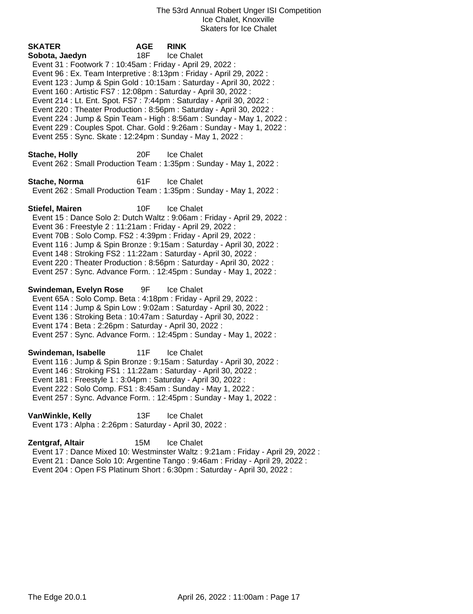| SKATER<br>Sobota, Jaedyn<br>Event 31 : Footwork 7 : 10:45am : Friday - April 29, 2022 :<br>Event 96 : Ex. Team Interpretive : 8:13pm : Friday - April 29, 2022 :<br>Event 160 : Artistic FS7 : 12:08pm : Saturday - April 30, 2022 :<br>Event 214 : Lt. Ent. Spot. FS7 : 7:44pm : Saturday - April 30, 2022 :<br>Event 255: Sync. Skate: 12:24pm: Sunday - May 1, 2022: | <b>AGE</b><br>18F | <b>RINK</b><br>Ice Chalet<br>Event 123 : Jump & Spin Gold : 10:15am : Saturday - April 30, 2022 :<br>Event 220 : Theater Production : 8:56pm : Saturday - April 30, 2022 :<br>Event 224 : Jump & Spin Team - High : 8:56am : Sunday - May 1, 2022 :<br>Event 229 : Couples Spot. Char. Gold : 9:26am : Sunday - May 1, 2022 : |
|-------------------------------------------------------------------------------------------------------------------------------------------------------------------------------------------------------------------------------------------------------------------------------------------------------------------------------------------------------------------------|-------------------|-------------------------------------------------------------------------------------------------------------------------------------------------------------------------------------------------------------------------------------------------------------------------------------------------------------------------------|
| <b>Stache, Holly</b>                                                                                                                                                                                                                                                                                                                                                    | 20F               | <b>Ice Chalet</b><br>Event 262 : Small Production Team : 1:35pm : Sunday - May 1, 2022 :                                                                                                                                                                                                                                      |
| Stache, Norma                                                                                                                                                                                                                                                                                                                                                           | 61F               | Ice Chalet<br>Event 262: Small Production Team: 1:35pm: Sunday - May 1, 2022:                                                                                                                                                                                                                                                 |
| <b>Stiefel, Mairen</b><br>Event 36 : Freestyle 2 : 11:21am : Friday - April 29, 2022 :<br>Event 70B: Solo Comp. FS2: 4:39pm: Friday - April 29, 2022:<br>Event 148 : Stroking FS2 : 11:22am : Saturday - April 30, 2022 :                                                                                                                                               | 10F               | <b>Ice Chalet</b><br>Event 15 : Dance Solo 2: Dutch Waltz : 9:06am : Friday - April 29, 2022 :<br>Event 116 : Jump & Spin Bronze : 9:15am : Saturday - April 30, 2022 :<br>Event 220 : Theater Production : 8:56pm : Saturday - April 30, 2022 :<br>Event 257: Sync. Advance Form.: 12:45pm: Sunday - May 1, 2022:            |
| Swindeman, Evelyn Rose<br>Event 65A : Solo Comp. Beta : 4:18pm : Friday - April 29, 2022 :<br>Event 114 : Jump & Spin Low : 9:02am : Saturday - April 30, 2022 :<br>Event 136 : Stroking Beta : 10:47am : Saturday - April 30, 2022 :<br>Event 174 : Beta : 2:26pm : Saturday - April 30, 2022 :                                                                        | 9F                | <b>Ice Chalet</b><br>Event 257: Sync. Advance Form.: 12:45pm: Sunday - May 1, 2022:                                                                                                                                                                                                                                           |
| Swindeman, Isabelle<br>Event 146 : Stroking FS1 : 11:22am : Saturday - April 30, 2022 :<br>Event 181 : Freestyle 1 : 3:04pm : Saturday - April 30, 2022 :<br>Event 222 : Solo Comp. FS1 : 8:45am : Sunday - May 1, 2022 :                                                                                                                                               |                   | 11F Ice Chalet<br>Event 116 : Jump & Spin Bronze : 9:15am : Saturday - April 30, 2022 :<br>Event 257: Sync. Advance Form.: 12:45pm: Sunday - May 1, 2022:                                                                                                                                                                     |
| VanWinkle, Kelly<br>Event 173 : Alpha : 2:26pm : Saturday - April 30, 2022 :                                                                                                                                                                                                                                                                                            | 13F               | <b>Ice Chalet</b>                                                                                                                                                                                                                                                                                                             |

**Zentgraf, Altair** 15M Ice Chalet Event 17 : Dance Mixed 10: Westminster Waltz : 9:21am : Friday - April 29, 2022 : Event 21 : Dance Solo 10: Argentine Tango : 9:46am : Friday - April 29, 2022 : Event 204 : Open FS Platinum Short : 6:30pm : Saturday - April 30, 2022 :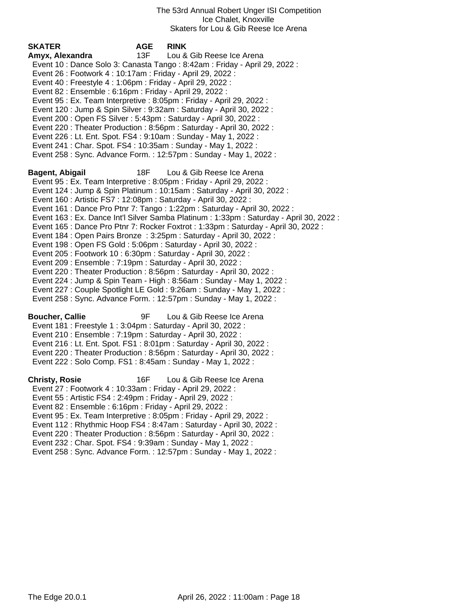| SKATER                                                            | <b>AGE</b> | <b>RINK</b>                                                                              |
|-------------------------------------------------------------------|------------|------------------------------------------------------------------------------------------|
| Amyx, Alexandra                                                   | 13F        | Lou & Gib Reese Ice Arena                                                                |
|                                                                   |            | Event 10 : Dance Solo 3: Canasta Tango : 8:42am : Friday - April 29, 2022 :              |
| Event 26 : Footwork 4 : 10:17am : Friday - April 29, 2022 :       |            |                                                                                          |
| Event 40 : Freestyle 4 : 1:06pm : Friday - April 29, 2022 :       |            |                                                                                          |
| Event 82 : Ensemble : 6:16pm : Friday - April 29, 2022 :          |            |                                                                                          |
|                                                                   |            | Event 95 : Ex. Team Interpretive : 8:05pm : Friday - April 29, 2022 :                    |
|                                                                   |            | Event 120 : Jump & Spin Silver : 9:32am : Saturday - April 30, 2022 :                    |
| Event 200 : Open FS Silver : 5:43pm : Saturday - April 30, 2022 : |            |                                                                                          |
|                                                                   |            | Event 220 : Theater Production : 8:56pm : Saturday - April 30, 2022 :                    |
| Event 226 : Lt. Ent. Spot. FS4 : 9:10am : Sunday - May 1, 2022 :  |            |                                                                                          |
| Event 241 : Char. Spot. FS4 : 10:35am : Sunday - May 1, 2022 :    |            |                                                                                          |
|                                                                   |            | Event 258 : Sync. Advance Form. : 12:57pm : Sunday - May 1, 2022 :                       |
| Bagent, Abigail                                                   | 18F        | Lou & Gib Reese Ice Arena                                                                |
|                                                                   |            | Event 95 : Ex. Team Interpretive : 8:05pm : Friday - April 29, 2022 :                    |
|                                                                   |            | Event 124 : Jump & Spin Platinum : 10:15am : Saturday - April 30, 2022 :                 |
| Event 160 : Artistic FS7 : 12:08pm : Saturday - April 30, 2022 :  |            |                                                                                          |
|                                                                   |            | Event 161 : Dance Pro Ptnr 7: Tango : 1:22pm : Saturday - April 30, 2022 :               |
|                                                                   |            | Event 163 : Ex. Dance Int'l Silver Samba Platinum : 1:33pm : Saturday - April 30, 2022 : |
|                                                                   |            | Event 165 : Dance Pro Ptnr 7: Rocker Foxtrot : 1:33pm : Saturday - April 30, 2022 :      |
|                                                                   |            | Event 184 : Open Pairs Bronze : 3:25pm : Saturday - April 30, 2022 :                     |
| Event 198 : Open FS Gold : 5:06pm : Saturday - April 30, 2022 :   |            |                                                                                          |
| Event 205 : Footwork 10 : 6:30pm : Saturday - April 30, 2022 :    |            |                                                                                          |
| Event 209 : Ensemble : 7:19pm : Saturday - April 30, 2022 :       |            |                                                                                          |
|                                                                   |            | Event 220 : Theater Production : 8:56pm : Saturday - April 30, 2022 :                    |
|                                                                   |            | Event 224 : Jump & Spin Team - High : 8:56am : Sunday - May 1, 2022 :                    |
|                                                                   |            | Event 227 : Couple Spotlight LE Gold : 9:26am : Sunday - May 1, 2022 :                   |
|                                                                   |            | Event 258 : Sync. Advance Form. : 12:57pm : Sunday - May 1, 2022 :                       |
| <b>Boucher, Callie</b>                                            | 9F         | Lou & Gib Reese Ice Arena                                                                |
| Event 181 : Freestyle 1 : 3:04pm : Saturday - April 30, 2022 :    |            |                                                                                          |
| Event 210 : Ensemble : 7:19pm : Saturday - April 30, 2022 :       |            |                                                                                          |
|                                                                   |            | Event 216 : Lt. Ent. Spot. FS1 : 8:01pm : Saturday - April 30, 2022 :                    |
|                                                                   |            | Event 220 : Theater Production : 8:56pm : Saturday - April 30, 2022 :                    |
| Event 222 : Solo Comp. FS1 : 8:45am : Sunday - May 1, 2022 :      |            |                                                                                          |
| <b>Christy, Rosie</b>                                             | 16F        | Lou & Gib Reese Ice Arena                                                                |
| Event 27 : Footwork 4 : 10:33am : Friday - April 29, 2022 :       |            |                                                                                          |
| Event 55: Artistic FS4: 2:49pm: Friday - April 29, 2022:          |            |                                                                                          |
| Event 82 : Ensemble : 6:16pm : Friday - April 29, 2022 :          |            |                                                                                          |
|                                                                   |            | Event 95 : Ex. Team Interpretive : 8:05pm : Friday - April 29, 2022 :                    |
|                                                                   |            | Event 112: Rhythmic Hoop FS4: 8:47am: Saturday - April 30, 2022:                         |
|                                                                   |            | Event 220 : Theater Production : 8:56pm : Saturday - April 30, 2022 :                    |
| Event 232: Char. Spot. FS4: 9:39am: Sunday - May 1, 2022:         |            |                                                                                          |
|                                                                   |            | Event 258 : Sync. Advance Form. : 12:57pm : Sunday - May 1, 2022 :                       |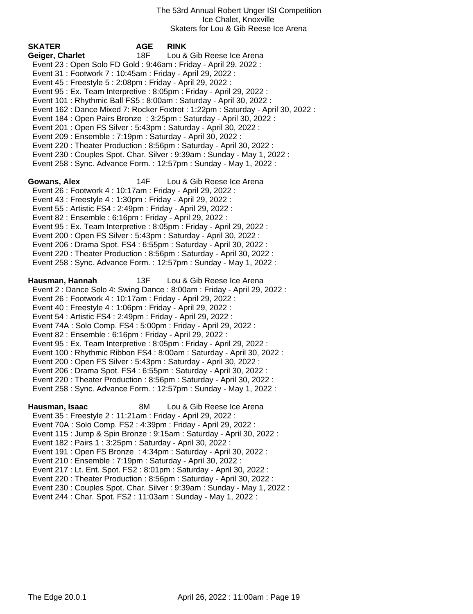| <b>SKATER</b><br>Geiger, Charlet<br>Event 23 : Open Solo FD Gold : 9:46am : Friday - April 29, 2022 :<br>Event 31: Footwork 7: 10:45am: Friday - April 29, 2022:<br>Event 45 : Freestyle 5 : 2:08pm : Friday - April 29, 2022 :<br>Event 201: Open FS Silver: 5:43pm: Saturday - April 30, 2022:<br>Event 209 : Ensemble : 7:19pm : Saturday - April 30, 2022 :                                               | <b>AGE</b><br>18F - | <b>RINK</b><br>Lou & Gib Reese Ice Arena<br>Event 95 : Ex. Team Interpretive : 8:05pm : Friday - April 29, 2022 :<br>Event 101 : Rhythmic Ball FS5 : 8:00am : Saturday - April 30, 2022 :<br>Event 162 : Dance Mixed 7: Rocker Foxtrot : 1:22pm : Saturday - April 30, 2022 :<br>Event 184 : Open Pairs Bronze : 3:25pm : Saturday - April 30, 2022 :<br>Event 220 : Theater Production : 8:56pm : Saturday - April 30, 2022 :<br>Event 230 : Couples Spot. Char. Silver : 9:39am : Sunday - May 1, 2022 :<br>Event 258 : Sync. Advance Form. : 12:57pm : Sunday - May 1, 2022 : |
|---------------------------------------------------------------------------------------------------------------------------------------------------------------------------------------------------------------------------------------------------------------------------------------------------------------------------------------------------------------------------------------------------------------|---------------------|----------------------------------------------------------------------------------------------------------------------------------------------------------------------------------------------------------------------------------------------------------------------------------------------------------------------------------------------------------------------------------------------------------------------------------------------------------------------------------------------------------------------------------------------------------------------------------|
| Gowans, Alex<br>Event 26 : Footwork 4 : 10:17am : Friday - April 29, 2022 :<br>Event 43 : Freestyle 4 : 1:30pm : Friday - April 29, 2022 :<br>Event 55: Artistic FS4: 2:49pm: Friday - April 29, 2022:<br>Event 82 : Ensemble : 6:16pm : Friday - April 29, 2022 :<br>Event 200 : Open FS Silver : 5:43pm : Saturday - April 30, 2022 :                                                                       | 14F                 | Lou & Gib Reese Ice Arena<br>Event 95 : Ex. Team Interpretive : 8:05pm : Friday - April 29, 2022 :<br>Event 206 : Drama Spot. FS4 : 6:55pm : Saturday - April 30, 2022 :<br>Event 220 : Theater Production : 8:56pm : Saturday - April 30, 2022 :<br>Event 258 : Sync. Advance Form. : 12:57pm : Sunday - May 1, 2022 :                                                                                                                                                                                                                                                          |
| Hausman, Hannah<br>Event 26 : Footwork 4 : 10:17am : Friday - April 29, 2022 :<br>Event 40 : Freestyle 4 : 1:06pm : Friday - April 29, 2022 :<br>Event 54 : Artistic FS4 : 2:49pm : Friday - April 29, 2022 :<br>Event 74A : Solo Comp. FS4 : 5:00pm : Friday - April 29, 2022 :<br>Event 82: Ensemble: 6:16pm: Friday - April 29, 2022:<br>Event 200 : Open FS Silver : 5:43pm : Saturday - April 30, 2022 : | 13F                 | Lou & Gib Reese Ice Arena<br>Event 2: Dance Solo 4: Swing Dance: 8:00am: Friday - April 29, 2022:<br>Event 95 : Ex. Team Interpretive : 8:05pm : Friday - April 29, 2022 :<br>Event 100: Rhythmic Ribbon FS4: 8:00am: Saturday - April 30, 2022:<br>Event 206 : Drama Spot. FS4 : 6:55pm : Saturday - April 30, 2022 :<br>Event 220 : Theater Production : 8:56pm : Saturday - April 30, 2022 :<br>Event 258 : Sync. Advance Form. : 12:57pm : Sunday - May 1, 2022 :                                                                                                            |
| Hausman, Isaac<br>Event 35 : Freestyle 2 : 11:21am : Friday - April 29, 2022 :<br>Event 70A : Solo Comp. FS2 : 4:39pm : Friday - April 29, 2022 :<br>Event 182 : Pairs 1 : 3:25pm : Saturday - April 30, 2022 :<br>Event 210 : Ensemble : 7:19pm : Saturday - April 30, 2022 :<br>Event 244 : Char. Spot. FS2 : 11:03am : Sunday - May 1, 2022 :                                                              | 8M                  | Lou & Gib Reese Ice Arena<br>Event 115 : Jump & Spin Bronze : 9:15am : Saturday - April 30, 2022 :<br>Event 191 : Open FS Bronze : 4:34pm : Saturday - April 30, 2022 :<br>Event 217 : Lt. Ent. Spot. FS2 : 8:01pm : Saturday - April 30, 2022 :<br>Event 220: Theater Production: 8:56pm: Saturday - April 30, 2022:<br>Event 230 : Couples Spot. Char. Silver : 9:39am : Sunday - May 1, 2022 :                                                                                                                                                                                |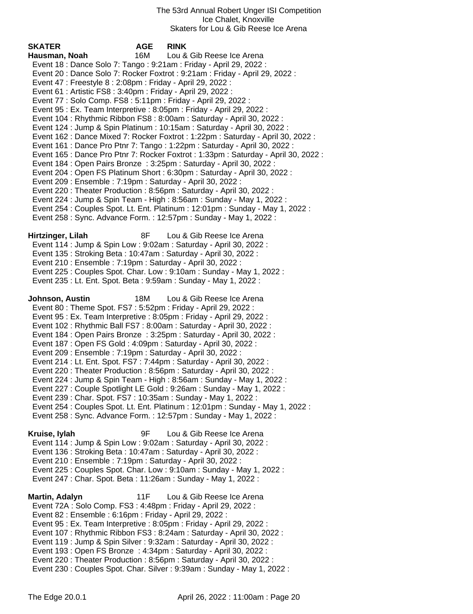| <b>SKATER</b>                                                | <b>AGE</b> | <b>RINK</b>                                                                         |
|--------------------------------------------------------------|------------|-------------------------------------------------------------------------------------|
| Hausman, Noah                                                | 16M        | Lou & Gib Reese Ice Arena                                                           |
|                                                              |            | Event 18 : Dance Solo 7: Tango : 9:21am : Friday - April 29, 2022 :                 |
|                                                              |            | Event 20: Dance Solo 7: Rocker Foxtrot: 9:21am: Friday - April 29, 2022:            |
| Event 47 : Freestyle 8 : 2:08pm : Friday - April 29, 2022 :  |            |                                                                                     |
| Event 61 : Artistic FS8 : 3:40pm : Friday - April 29, 2022 : |            |                                                                                     |
|                                                              |            | Event 77: Solo Comp. FS8: 5:11pm: Friday - April 29, 2022:                          |
|                                                              |            | Event 95 : Ex. Team Interpretive : 8:05pm : Friday - April 29, 2022 :               |
|                                                              |            | Event 104 : Rhythmic Ribbon FS8 : 8:00am : Saturday - April 30, 2022 :              |
|                                                              |            | Event 124 : Jump & Spin Platinum : 10:15am : Saturday - April 30, 2022 :            |
|                                                              |            | Event 162 : Dance Mixed 7: Rocker Foxtrot : 1:22pm : Saturday - April 30, 2022 :    |
|                                                              |            | Event 161 : Dance Pro Ptnr 7: Tango : 1:22pm : Saturday - April 30, 2022 :          |
|                                                              |            | Event 165 : Dance Pro Ptnr 7: Rocker Foxtrot : 1:33pm : Saturday - April 30, 2022 : |
|                                                              |            | Event 184 : Open Pairs Bronze : 3:25pm : Saturday - April 30, 2022 :                |
|                                                              |            | Event 204: Open FS Platinum Short: 6:30pm: Saturday - April 30, 2022:               |
| Event 209 : Ensemble : 7:19pm : Saturday - April 30, 2022 :  |            |                                                                                     |
|                                                              |            | Event 220: Theater Production: 8:56pm: Saturday - April 30, 2022:                   |
|                                                              |            | Event 224 : Jump & Spin Team - High : 8:56am : Sunday - May 1, 2022 :               |
|                                                              |            | Event 254 : Couples Spot. Lt. Ent. Platinum : 12:01pm : Sunday - May 1, 2022 :      |
|                                                              |            | Event 258 : Sync. Advance Form. : 12:57pm : Sunday - May 1, 2022 :                  |
| Hirtzinger, Lilah                                            | 8F         | Lou & Gib Reese Ice Arena                                                           |
|                                                              |            | Event 114 : Jump & Spin Low : 9:02am : Saturday - April 30, 2022 :                  |
|                                                              |            | Event 135: Stroking Beta: 10:47am: Saturday - April 30, 2022:                       |
| Event 210 : Ensemble : 7:19pm : Saturday - April 30, 2022 :  |            |                                                                                     |
|                                                              |            | Event 225 : Couples Spot. Char. Low : 9:10am : Sunday - May 1, 2022 :               |
|                                                              |            | Event 235 : Lt. Ent. Spot. Beta : 9:59am : Sunday - May 1, 2022 :                   |
|                                                              |            |                                                                                     |
| Johnson, Austin                                              | 18M        | Lou & Gib Reese Ice Arena                                                           |
|                                                              |            | Event 80 : Theme Spot. FS7 : 5:52pm : Friday - April 29, 2022 :                     |
|                                                              |            | Event 95 : Ex. Team Interpretive : 8:05pm : Friday - April 29, 2022 :               |
|                                                              |            | Event 102 : Rhythmic Ball FS7 : 8:00am : Saturday - April 30, 2022 :                |
|                                                              |            | Event 184 : Open Pairs Bronze : 3:25pm : Saturday - April 30, 2022 :                |
|                                                              |            | Event 187 : Open FS Gold : 4:09pm : Saturday - April 30, 2022 :                     |
| Event 209 : Ensemble : 7:19pm : Saturday - April 30, 2022 :  |            |                                                                                     |
|                                                              |            | Event 214 : Lt. Ent. Spot. FS7 : 7:44pm : Saturday - April 30, 2022 :               |
|                                                              |            | Event 220 : Theater Production : 8:56pm : Saturday - April 30, 2022 :               |
|                                                              |            | Event 224 : Jump & Spin Team - High : 8:56am : Sunday - May 1, 2022 :               |
|                                                              |            | Event 227 : Couple Spotlight LE Gold : 9:26am : Sunday - May 1, 2022 :              |
|                                                              |            | Event 239: Char. Spot. FS7: 10:35am: Sunday - May 1, 2022:                          |
|                                                              |            | Event 254 : Couples Spot. Lt. Ent. Platinum : 12:01pm : Sunday - May 1, 2022 :      |
|                                                              |            | Event 258 : Sync. Advance Form. : 12:57pm : Sunday - May 1, 2022 :                  |
|                                                              |            |                                                                                     |
| Kruise, lylah                                                | 9F         | Lou & Gib Reese Ice Arena                                                           |
|                                                              |            | Event 114 : Jump & Spin Low : 9:02am : Saturday - April 30, 2022 :                  |
|                                                              |            | Event 136 : Stroking Beta : 10:47am : Saturday - April 30, 2022 :                   |
| Event 210 : Ensemble : 7:19pm : Saturday - April 30, 2022 :  |            |                                                                                     |
|                                                              |            | Event 225 : Couples Spot. Char. Low : 9:10am : Sunday - May 1, 2022 :               |
|                                                              |            | Event 247 : Char. Spot. Beta : 11:26am : Sunday - May 1, 2022 :                     |
| Martin, Adalyn                                               | 11F        | Lou & Gib Reese Ice Arena                                                           |
|                                                              |            | Event 72A : Solo Comp. FS3 : 4:48pm : Friday - April 29, 2022 :                     |
| Event 82 : Ensemble : 6:16pm : Friday - April 29, 2022 :     |            |                                                                                     |
|                                                              |            | Event 95 : Ex. Team Interpretive : 8:05pm : Friday - April 29, 2022 :               |
|                                                              |            | Event 107: Rhythmic Ribbon FS3: 8:24am: Saturday - April 30, 2022:                  |
|                                                              |            | Event 119 : Jump & Spin Silver : 9:32am : Saturday - April 30, 2022 :               |
|                                                              |            |                                                                                     |

Event 193 : Open FS Bronze : 4:34pm : Saturday - April 30, 2022 :

 Event 220 : Theater Production : 8:56pm : Saturday - April 30, 2022 : Event 230 : Couples Spot. Char. Silver : 9:39am : Sunday - May 1, 2022 :